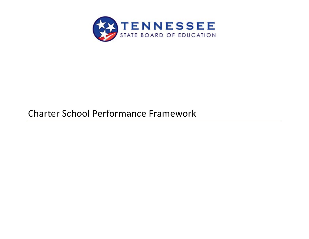

# Charter School Performance Framework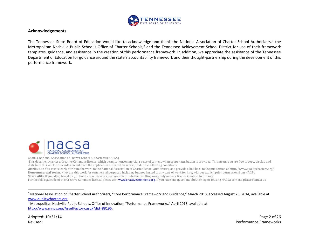<span id="page-1-1"></span><span id="page-1-0"></span>

#### **Acknowledgements**

The Tennessee State Board of Education would like to acknowledge and thank the National Association of Charter School Authorizers,<sup>[1](#page-1-0)</sup> the Metropolitan Nashville Public School's Office of Charter Schools,<sup>[2](#page-1-1)</sup> and the Tennessee Achievement School District for use of their framework templates, guidance, and assistance in the creation of this performance framework. In addition, we appreciate the assistance of the Tennessee Department of Education for guidance around the state's accountability framework and their thought-partnership during the development of this performance framework.



© 2014 National Association of Charter School Authorizers (NACSA)

This document carries a Creative Commons license, which permits noncommercial re-use of content when proper attribution is provided. This means you are free to copy, display and distribute this work, or include content from the application in derivative works, under the following conditions:

**Attribution** You must clearly attribute the work to the National Association of Charter School Authorizers, and provide a link back to the publication a[t http://www.qualitycharters.org/.](http://www.qualitycharters.org/) **Noncommercial** You may not use this work for commercial purposes, including but not limited to any type of work for hire, without explicit prior permission from NACSA. **Share Alike** If you alter, transform, or build upon this work, you may distribute the resulting work only under a license identical to this one.

For the full legal code of this Creative Commons license, please visi[t www.creativecommons.org.](http://www.creativecommons.org/) If you have any questions about citing or reusing NACSA content, please contact us.

<sup>1</sup> National Association of Charter School Authorizers, "Core Performance Framework and Guidance," March 2013, accessed August 26, 2014, available at [www.qualitycharters.org.](http://www.qualitycharters.org/)

<sup>2</sup> Metropolitan Nashville Public Schools, Office of Innovation, "Performance Frameworks," April 2013, available at [http://www.mnps.org/AssetFactory.aspx?did=88196.](http://www.mnps.org/AssetFactory.aspx?did=88196)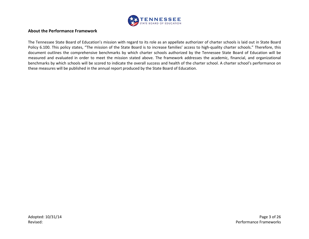

#### **About the Performance Framework**

The Tennessee State Board of Education's mission with regard to its role as an appellate authorizer of charter schools is laid out in State Board Policy 6.100. This policy states, "The mission of the State Board is to increase families' access to high-quality charter schools." Therefore, this document outlines the comprehensive benchmarks by which charter schools authorized by the Tennessee State Board of Education will be measured and evaluated in order to meet the mission stated above. The framework addresses the academic, financial, and organizational benchmarks by which schools will be scored to indicate the overall success and health of the charter school. A charter school's performance on these measures will be published in the annual report produced by the State Board of Education.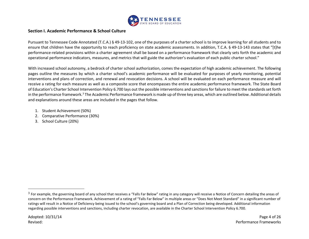<span id="page-3-0"></span>

#### **Section I. Academic Performance & School Culture**

Pursuant to Tennessee Code Annotated (T.C.A.) § 49-13-102, one of the purposes of a charter school is to improve learning for all students and to ensure that children have the opportunity to reach proficiency on state academic assessments. In addition, T.C.A. § 49-13-143 states that "[t]he performance-related provisions within a charter agreement shall be based on a performance framework that clearly sets forth the academic and operational performance indicators, measures, and metrics that will guide the authorizer's evaluation of each public charter school."

With increased school autonomy, a bedrock of charter school authorization, comes the expectation of high academic achievement. The following pages outline the measures by which a charter school's academic performance will be evaluated for purposes of yearly monitoring, potential interventions and plans of correction, and renewal and revocation decisions. A school will be evaluated on each performance measure and will receive a rating for each measure as well as a composite score that encompasses the entire academic performance framework. The State Board of Education's Charter School Intervention Policy 6.700 lays out the possible interventions and sanctions for failure to meet the standards set forth in the performance framework.<sup>[3](#page-3-0)</sup> The Academic Performance framework is made up of three key areas, which are outlined below. Additional details and explanations around these areas are included in the pages that follow.

- 1. Student Achievement (50%)
- 2. Comparative Performance (30%)
- 3. School Culture (20%)

 $3$  For example, the governing board of any school that receives a "Falls Far Below" rating in any category will receive a Notice of Concern detailing the areas of concern on the Performance Framework. Achievement of a rating of "Falls Far Below" in multiple areas or "Does Not Meet Standard" in a significant number of ratings will result in a Notice of Deficiency being issued to the school's governing board and a Plan of Correction being developed. Additional information regarding possible interventions and sanctions, including charter revocation, are available in the Charter School Intervention Policy 6.700.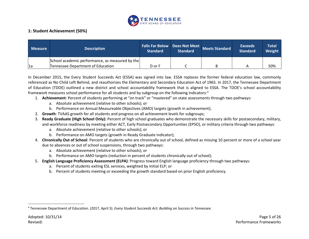<span id="page-4-0"></span>

# **1: Student Achievement (50%)**

| <b>Measure</b> | <b>Description</b>                                                                   | <b>Standard</b> | <b>Standard</b> | Falls Far Below Does Not Meet Meets Standard | <b>Exceeds</b><br><b>Standard</b> | <b>Total</b><br>Weight |
|----------------|--------------------------------------------------------------------------------------|-----------------|-----------------|----------------------------------------------|-----------------------------------|------------------------|
| 1a             | School academic performance, as measured by the<br>Tennessee Department of Education | D or F          |                 |                                              |                                   | 50%                    |

In December 2015, the Every Student Succeeds Act (ESSA) was signed into law. ESSA replaces the former federal education law, commonly referenced as No Child Left Behind, and reauthorizes the Elementary and Secondary Education Act of 1965. In 2017, the Tennessee Department of Education (TDOE) outlined a new district and school accountability framework that is aligned to ESSA. The TDOE's school accountability framework measures school performance for all students and by subgroup on the following indicators: [4](#page-4-0)

- 1. **Achievement**: Percent of students performing at "on track" or "mastered" on state assessments through two pathways:
	- a. Absolute achievement (relative to other schools); or
	- b. Performance on Annual Measureable Objectives (AMO) targets (growth in achievement);
- 2. **Growth**: TVAAS growth for all students and progress on all achievement levels for subgroups;
- 3. **Ready Graduate (High School Only):** Percent of high school graduates who demonstrate the necessary skills for postsecondary, military, and workforce readiness by meeting either ACT, Early Postsecondary Opportunities (EPSO), or military criteria through two pathways:
	- a. Absolute achievement (relative to other schools); or
	- b. Performance on AMO targets (growth in Ready Graduate indicator);
- 4. **Chronically Out of School**: Percent of students who are chronically out of school, defined as missing 10 percent or more of a school year due to absences or out of school suspensions, through two pathways:
	- a. Absolute achievement (relative to other schools); or
	- b. Performance on AMO targets (reduction in percent of students chronically out of school);
- 5. **English Language Proficiency Assessment (ELPA)**: Progress toward English language proficiency through two pathways:
	- a. Percent of students exiting ESL services, weighted by initial ELP; or
	- b. Percent of students meeting or exceeding the growth standard based on prior English proficiency.

<sup>4</sup> Tennessee Department of Education. (2017, April 3). *Every Student Succeeds Act: Building on Success in Tennessee*.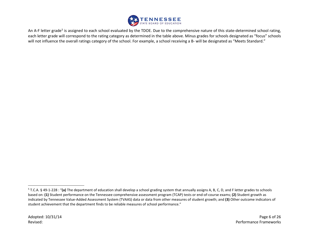<span id="page-5-0"></span>

An A-F letter grade<sup>[5](#page-5-0)</sup> is assigned to each school evaluated by the TDOE. Due to the comprehensive nature of this state-determined school rating, each letter grade will correspond to the rating category as determined in the table above. Minus grades for schools designated as "focus" schools will not influence the overall ratings category of the school. For example, a school receiving a B- will be designated as "Meets Standard."

<sup>5</sup> T.C.A. § 49-1-228 : "**(a)** The department of education shall develop a school grading system that annually assigns A, B, C, D, and F letter grades to schools based on: **(1)** Student performance on the Tennessee comprehensive assessment program (TCAP) tests or end-of-course exams; **(2)** Student growth as indicated by Tennessee Value-Added Assessment System (TVAAS) data or data from other measures of student growth; and **(3)** Other outcome indicators of student achievement that the department finds to be reliable measures of school performance."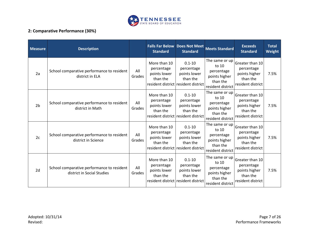

# **2: Comparative Performance (30%)**

| <b>Measure</b> | <b>Description</b>                                                       |               | <b>Standard</b>                                        | <b>Falls Far Below Does Not Meet</b><br><b>Standard</b>                                     | <b>Meets Standard</b>                                                                     | <b>Exceeds</b><br><b>Standard</b>                                               | <b>Total</b><br>Weight |
|----------------|--------------------------------------------------------------------------|---------------|--------------------------------------------------------|---------------------------------------------------------------------------------------------|-------------------------------------------------------------------------------------------|---------------------------------------------------------------------------------|------------------------|
| 2a             | School comparative performance to resident<br>district in ELA            | All<br>Grades | More than 10<br>percentage<br>points lower<br>than the | $0.1 - 10$<br>percentage<br>points lower<br>than the<br>resident district resident district | The same or up<br>to 10<br>percentage<br>points higher<br>than the<br>resident district   | Greater than 10<br>percentage<br>points higher<br>than the<br>resident district | 7.5%                   |
| 2 <sub>b</sub> | School comparative performance to resident<br>district in Math           | All<br>Grades | More than 10<br>percentage<br>points lower<br>than the | $0.1 - 10$<br>percentage<br>points lower<br>than the<br>resident district resident district | The same or up<br>to $10$<br>percentage<br>points higher<br>than the<br>resident district | Greater than 10<br>percentage<br>points higher<br>than the<br>resident district | 7.5%                   |
| 2c             | School comparative performance to resident<br>district in Science        | All<br>Grades | More than 10<br>percentage<br>points lower<br>than the | $0.1 - 10$<br>percentage<br>points lower<br>than the<br>resident district resident district | The same or up<br>to $10$<br>percentage<br>points higher<br>than the<br>resident district | Greater than 10<br>percentage<br>points higher<br>than the<br>resident district | 7.5%                   |
| 2d             | School comparative performance to resident<br>district in Social Studies | All<br>Grades | More than 10<br>percentage<br>points lower<br>than the | $0.1 - 10$<br>percentage<br>points lower<br>than the<br>resident district resident district | The same or up<br>to 10<br>percentage<br>points higher<br>than the<br>resident district   | Greater than 10<br>percentage<br>points higher<br>than the<br>resident district | 7.5%                   |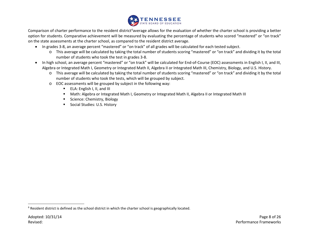<span id="page-7-0"></span>

Comparison of charter performance to the resident district<sup>[6](#page-7-0)</sup>average allows for the evaluation of whether the charter school is providing a better option for students. Comparative achievement will be measured by evaluating the percentage of students who scored "mastered" or "on track" on the state assessments at the charter school, as compared to the resident district average.

- In grades 3-8, an average percent "mastered" or "on track" of all grades will be calculated for each tested subject.
	- o This average will be calculated by taking the total number of students scoring "mastered" or "on track" and dividing it by the total number of students who took the test in grades 3-8.
- In high school, an average percent "mastered" or "on track" will be calculated for End-of-Course (EOC) assessments in English I, II, and III, Algebra or Integrated Math I, Geometry or Integrated Math II, Algebra II or Integrated Math III, Chemistry, Biology, and U.S. History.
	- o This average will be calculated by taking the total number of students scoring "mastered" or "on track" and dividing it by the total number of students who took the tests, which will be grouped by subject.
	- o EOC assessments will be grouped by subject in the following way:
		- **ELA:** English I, II, and III
		- Math: Algebra or Integrated Math I, Geometry or Integrated Math II, Algebra II or Integrated Math III
		- **Science: Chemistry, Biology**
		- **Social Studies: U.S. History**

 $6$  Resident district is defined as the school district in which the charter school is geographically located.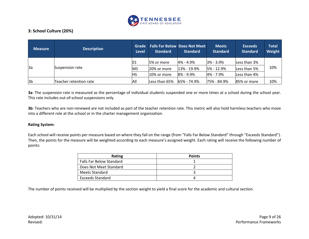

# **3: School Culture (20%)**

| <b>Measure</b> | <b>Description</b>     | Grade<br><b>Level</b> | <b>Standard</b> | <b>Falls Far Below Does Not Meet</b><br><b>Standard</b> | <b>Meets</b><br><b>Standard</b> | <b>Exceeds</b><br><b>Standard</b> | <b>Total</b><br>Weight |  |
|----------------|------------------------|-----------------------|-----------------|---------------------------------------------------------|---------------------------------|-----------------------------------|------------------------|--|
| <sub>3a</sub>  | Suspension rate        |                       | 5% or more      | $4\% - 4.9\%$                                           | $3% - 3.9%$                     | Less than 3%                      |                        |  |
|                |                        | MS                    | 20% or more     | 13% - 19.9%                                             | 5% - 12.9%                      | Less than 5%                      | 10%                    |  |
|                |                        | HS                    | 10% or more     | $8\%$ - 9.9%                                            | $4\% - 7.9\%$                   | Less than 4%                      |                        |  |
| 3 <sub>b</sub> | Teacher retention rate | All                   | Less than 65%   | <b>65% - 74.9%</b>                                      | 75% - 84.9%                     | 85% or more                       | 10%                    |  |

**3a**: The suspension rate is measured as the percentage of individual students suspended one or more times at a school during the school year. This rate includes out-of-school suspensions only.

**3b**: Teachers who are non-renewed are not included as part of the teacher retention rate. This metric will also hold harmless teachers who move into a different role at the school or in the charter management organization.

#### **Rating System:**

Each school will receive points per measure based on where they fall on the range (from "Falls Far Below Standard" through "Exceeds Standard"). Then, the points for the measure will be weighted according to each measure's assigned weight. Each rating will receive the following number of points:

| Rating                          | <b>Points</b> |
|---------------------------------|---------------|
| <b>Falls Far Below Standard</b> |               |
| Does Not Meet Standard          |               |
| Meets Standard                  |               |
| <b>Exceeds Standard</b>         |               |

The number of points received will be multiplied by the section weight to yield a final score for the academic and cultural section.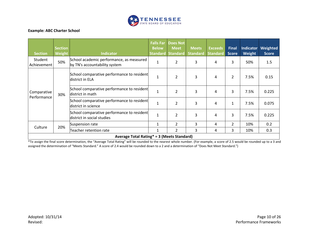

## **Example: ABC Charter School**

| <b>Section</b>                             | <b>Section</b><br>Weight | <b>Indicator</b>                                                          | <b>Falls Far</b><br><b>Below</b> | Does Not<br><b>Meet</b><br><b>Standard Standard</b> | <b>Meets</b><br><b>Standard</b> | <b>Exceeds</b><br>Standard | <b>Final</b><br><b>Score</b> | Indicator<br>Weight | <b>Weighted</b><br><b>Score</b> |
|--------------------------------------------|--------------------------|---------------------------------------------------------------------------|----------------------------------|-----------------------------------------------------|---------------------------------|----------------------------|------------------------------|---------------------|---------------------------------|
| Student<br>Achievement                     | 50%                      | School academic performance, as measured<br>by TN's accountability system | 1                                | 2                                                   | 3                               | 4                          | 3                            | 50%                 | 1.5                             |
| Comparative<br>Performance                 | 30%                      | School comparative performance to resident<br>district in ELA             | 1                                | 2                                                   | 3                               | 4                          | $\overline{2}$               | 7.5%                | 0.15                            |
|                                            |                          | School comparative performance to resident<br>district in math            | $\mathbf{1}$                     | 2                                                   | 3                               | 4                          | 3                            | 7.5%                | 0.225                           |
|                                            |                          | School comparative performance to resident<br>district in science         |                                  | $\overline{2}$                                      | 3                               | 4                          | 1                            | 7.5%                | 0.075                           |
|                                            |                          | School comparative performance to resident<br>district in social studies  | $\mathbf 1$                      | 2                                                   | 3                               | 4                          | 3                            | 7.5%                | 0.225                           |
| Culture                                    | 20%                      | Suspension rate                                                           | 1                                | $\overline{2}$                                      | 3                               | 4                          | $\overline{2}$               | 10%                 | 0.2                             |
|                                            |                          | Teacher retention rate                                                    | 1                                | $\overline{2}$                                      | 3                               | 4                          | 3                            | 10%                 | 0.3                             |
| Average Total Rating* = 3 (Meets Standard) |                          |                                                                           |                                  |                                                     |                                 |                            |                              |                     |                                 |

\*To assign the final score determination, the "Average Total Rating" will be rounded to the nearest whole number. (For example, a score of 2.5 would be rounded up to a 3 and assigned the determination of "Meets Standard." A score of 2.4 would be rounded down to a 2 and a determination of "Does Not Meet Standard.")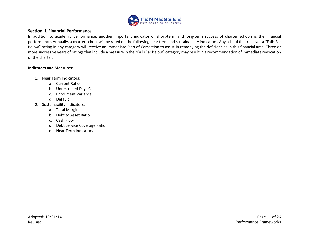

#### **Section II. Financial Performance**

In addition to academic performance, another important indicator of short-term and long-term success of charter schools is the financial performance. Annually, a charter school will be rated on the following near term and sustainability indicators. Any school that receives a "Falls Far Below" rating in any category will receive an immediate Plan of Correction to assist in remedying the deficiencies in this financial area. Three or more successive years of ratings that include a measure in the "Falls Far Below" category may result in a recommendation of immediate revocation of the charter.

#### **Indicators and Measures:**

- 1. Near Term Indicators:
	- a. Current Ratio
	- b. Unrestricted Days Cash
	- c. Enrollment Variance
	- d. Default
- 2. Sustainability Indicators:
	- a. Total Margin
	- b. Debt to Asset Ratio
	- c. Cash Flow
	- d. Debt Service Coverage Ratio
	- e. Near Term Indicators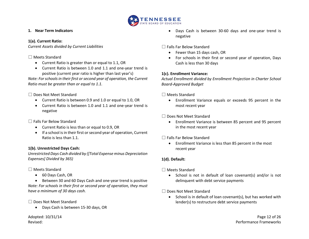

# **1. Near Term Indicators**

# **1(a). Current Ratio:**

*Current Assets divided by Current Liabilities*

# □ Meets Standard

- Current Ratio is greater than or equal to 1.1, OR
- Current Ratio is between 1.0 and 1.1 and one-year trend is positive (current year ratio is higher than last year's)

*Note: For schools in their first or second year of operation, the Current Ratio must be greater than or equal to 1.1.*

□ Does Not Meet Standard

- Current Ratio is between 0.9 and 1.0 or equal to 1.0, OR
- Current Ratio is between 1.0 and 1.1 and one-year trend is negative

 $\Box$  Falls Far Below Standard

- Current Ratio is less than or equal to 0.9, OR
- If a school is in their first or second year of operation, Current Ratio is less than 1.1.

# **1(b). Unrestricted Days Cash:**

*Unrestricted Days Cash divided by ([Total Expense minus Depreciation Expenses] Divided by 365)*

□ Meets Standard

• 60 Days Cash, OR

• Between 30 and 60 Days Cash and one-year trend is positive *Note: For schools in their first or second year of operation, they must have a minimum of 30 days cash.*

□ Does Not Meet Standard

• Days Cash is between 15-30 days, OR

• Days Cash is between 30-60 days and one-year trend is negative

□ Falls Far Below Standard

- Fewer than 15 days cash, OR
- For schools in their first or second year of operation, Days Cash is less than 30 days

# **1(c). Enrollment Variance:**

*Actual Enrollment divided by Enrollment Projection in Charter School Board-Approved Budget*

□ Meets Standard

• Enrollment Variance equals or exceeds 95 percent in the most recent year

□ Does Not Meet Standard

- Enrollment Variance is between 85 percent and 95 percent in the most recent year
- $\Box$  Falls Far Below Standard
	- Enrollment Variance is less than 85 percent in the most recent year

# **1(d). Default:**

# □ Meets Standard

• School is not in default of loan covenant(s) and/or is not delinquent with debt service payments

□ Does Not Meet Standard

School is in default of loan covenant(s), but has worked with lender(s) to restructure debt service payments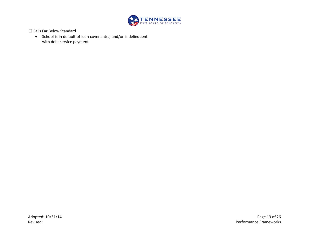

□ Falls Far Below Standard

• School is in default of loan covenant(s) and/or is delinquent with debt service payment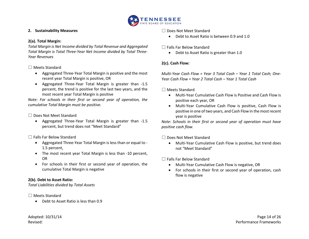

## **2. Sustainability Measures**

# **2(a). Total Margin:**

*Total Margin is Net Income divided by Total Revenue and Aggregated Total Margin is Total Three-Year Net Income divided by Total Three-Year Revenues*

# □ Meets Standard

- Aggregated Three-Year Total Margin is positive and the most recent year Total Margin is positive, OR
- Aggregated Three-Year Total Margin is greater than -1.5 percent, the trend is positive for the last two years, and the most recent year Total Margin is positive

*Note: For schools in their first or second year of operation, the cumulative Total Margin must be positive.*

# □ Does Not Meet Standard

• Aggregated Three-Year Total Margin is greater than -1.5 percent, but trend does not "Meet Standard"

 $\Box$  Falls Far Below Standard

- Aggregated Three-Year Total Margin is less than or equal to 1.5 percent,
- The most recent year Total Margin is less than -10 percent, OR
- For schools in their first or second year of operation, the cumulative Total Margin is negative

# **2(b). Debt to Asset Ratio:**

*Total Liabilities divided by Total Assets*

# □ Meets Standard

• Debt to Asset Ratio is less than 0.9

□ Does Not Meet Standard

• Debt to Asset Ratio is between 0.9 and 1.0

# $\Box$  Falls Far Below Standard

• Debt to Asset Ratio is greater than 1.0

# **2(c). Cash Flow:**

*Multi-Year Cash Flow = Year 3 Total Cash – Year 1 Total Cash; One-Year Cash Flow = Year 2 Total Cash – Year 1 Total Cash*

□ Meets Standard

- Multi-Year Cumulative Cash Flow is Positive and Cash Flow is positive each year, OR
- Multi-Year Cumulative Cash Flow is positive, Cash Flow is positive in one of two years, and Cash Flow in the most recent year is positive

*Note: Schools in their first or second year of operation must have positive cash flow.*

□ Does Not Meet Standard

• Multi-Year Cumulative Cash Flow is positive, but trend does not "Meet Standard"

 $\Box$  Falls Far Below Standard

- Multi-Year Cumulative Cash Flow is negative, OR
- For schools in their first or second year of operation, cash flow is negative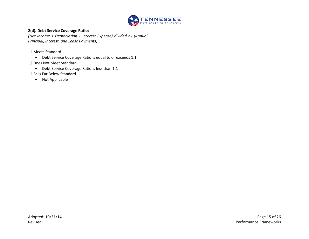

## **2(d). Debt Service Coverage Ratio:**

*(Net Income + Depreciation + Interest Expense) divided by (Annual Principal, Interest, and Lease Payments)*

□ Meets Standard

- Debt Service Coverage Ratio is equal to or exceeds 1.1
- □ Does Not Meet Standard
	- Debt Service Coverage Ratio is less than 1.1
- □ Falls Far Below Standard
	- Not Applicable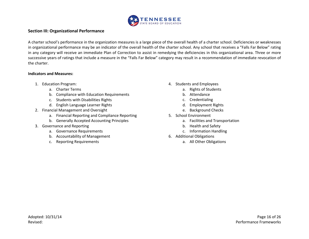

# **Section III: Organizational Performance**

A charter school's performance in the organization measures is a large piece of the overall health of a charter school. Deficiencies or weaknesses in organizational performance may be an indicator of the overall health of the charter school. Any school that receives a "Falls Far Below" rating in any category will receive an immediate Plan of Correction to assist in remedying the deficiencies in this organizational area. Three or more successive years of ratings that include a measure in the "Falls Far Below" category may result in a recommendation of immediate revocation of the charter.

#### **Indicators and Measures:**

- 1. Education Program:
	- a. Charter Terms
	- b. Compliance with Education Requirements
	- c. Students with Disabilities Rights
	- d. English Language Learner Rights
- 2. Financial Management and Oversight
	- a. Financial Reporting and Compliance Reporting
	- b. Generally Accepted Accounting Principles
- 3. Governance and Reporting
	- a. Governance Requirements
	- b. Accountability of Management
	- c. Reporting Requirements
- 4. Students and Employees
	- a. Rights of Students
	- b. Attendance
	- c. Credentialing
	- d. Employment Rights
	- e. Background Checks
- 5. School Environment
	- a. Facilities and Transportation
	- b. Health and Safety
	- c. Information Handling
- 6. Additional Obligations
	- a. All Other Obligations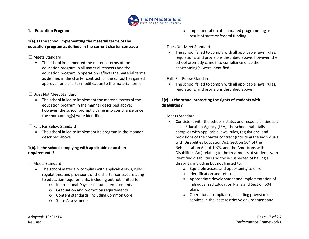

#### **1. Education Program**

#### **1(a). Is the school implementing the material terms of the education program as defined in the current charter contract?**

#### □ Meets Standard

• The school implemented the material terms of the education program in all material respects and the education program in operation reflects the material terms as defined in the charter contract, or the school has gained approval for a charter modification to the material terms.

## □ Does Not Meet Standard

• The school failed to implement the material terms of the education program in the manner described above; however, the school promptly came into compliance once the shortcoming(s) were identified.

# $\Box$  Falls Far Below Standard

• The school failed to implement its program in the manner described above.

# **1(b). Is the school complying with applicable education requirements?**

# □ Meets Standard

- The school materially complies with applicable laws, rules, regulations, and provisions of the charter contract relating to education requirements, including but not limited to:
	- o Instructional Days or minutes requirements
	- o Graduation and promotion requirements
	- o Content standards, including Common Core
	- o State Assessments

o Implementation of mandated programming as a result of state or federal funding

#### □ Does Not Meet Standard

• The school failed to comply with all applicable laws, rules, regulations, and provisions described above; however, the school promptly came into compliance once the shortcoming(s) were identified.

## □ Falls Far Below Standard

• The school failed to comply with all applicable laws, rules, regulations, and provisions described above

#### **1(c). Is the school protecting the rights of students with disabilities?**

#### □ Meets Standard

- Consistent with the school's status and responsibilities as a Local Education Agency (LEA), the school materially complies with applicable laws, rules, regulations, and provisions of the charter contract (including the Individuals with Disabilities Education Act, Section 504 of the Rehabilitation Act of 1973, and the Americans with Disabilities Act) relating to the treatments of students with identified disabilities and those suspected of having a disability, including but not limited to:
	- o Equitable access and opportunity to enroll
	- o Identification and referral
	- o Appropriate development and implementation of Individualized Education Plans and Section 504 plans
	- o Operational compliance, including provision of services in the least restrictive environment and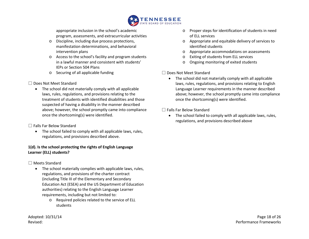

appropriate inclusion in the school's academic program, assessments, and extracurricular activities

- o Discipline, including due process protections, manifestation determinations, and behavioral intervention plans
- o Access to the school's facility and program students in a lawful manner and consistent with students' IEPs or Section 504 Plans
- o Securing of all applicable funding

# □ Does Not Meet Standard

• The school did not materially comply with all applicable laws, rules, regulations, and provisions relating to the treatment of students with identified disabilities and those suspected of having a disability in the manner described above; however, the school promptly came into compliance once the shortcoming(s) were identified.

# □ Falls Far Below Standard

• The school failed to comply with all applicable laws, rules, regulations, and provisions described above.

# **1(d). Is the school protecting the rights of English Language Learner (ELL) students?**

# □ Meets Standard

- The school materially complies with applicable laws, rules, regulations, and provisions of the charter contract (including Title III of the Elementary and Secondary Education Act (ESEA) and the US Department of Education authorities) relating to the English Language Learner requirements, including but not limited to:
	- o Required policies related to the service of ELL students

- o Proper steps for identification of students in need of ELL services
- o Appropriate and equitable delivery of services to identified students
- o Appropriate accommodations on assessments
- o Exiting of students from ELL services
- o Ongoing monitoring of exited students

## □ Does Not Meet Standard

• The school did not materially comply with all applicable laws, rules, regulations, and provisions relating to English Language Learner requirements in the manner described above; however, the school promptly came into compliance once the shortcoming(s) were identified.

## □ Falls Far Below Standard

• The school failed to comply with all applicable laws, rules, regulations, and provisions described above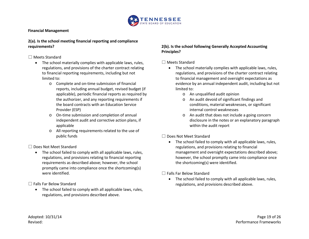

#### **Financial Management**

#### **2(a). Is the school meeting financial reporting and compliance requirements?**

#### □ Meets Standard

- The school materially complies with applicable laws, rules, regulations, and provisions of the charter contract relating to financial reporting requirements, including but not limited to:
	- o Complete and on-time submission of financial reports, including annual budget, revised budget (if applicable), periodic financial reports as required by the authorizer, and any reporting requirements if the board contracts with an Education Service Provider (ESP)
	- o On-time submission and completion of annual independent audit and corrective action plans, if applicable
	- o All reporting requirements related to the use of public funds

□ Does Not Meet Standard

• The school failed to comply with all applicable laws, rules, regulations, and provisions relating to financial reporting requirements as described above; however, the school promptly came into compliance once the shortcoming(s) were identified.

□ Falls Far Below Standard

• The school failed to comply with all applicable laws, rules, regulations, and provisions described above.

## **2(b). Is the school following Generally Accepted Accounting Principles?**

# □ Meets Standard

- The school materially complies with applicable laws, rules, regulations, and provisions of the charter contract relating to financial management and oversight expectations as evidence by an annual independent audit, including but not limited to:
	- o An unqualified audit opinion
	- o An audit devoid of significant findings and conditions, material weaknesses, or significant internal control weaknesses
	- o An audit that does not include a going concern disclosure in the notes or an explanatory paragraph within the audit report

# □ Does Not Meet Standard

• The school failed to comply with all applicable laws, rules, regulations, and provisions relating to financial management and oversight expectations described above; however, the school promptly came into compliance once the shortcoming(s) were identified.

 $\Box$  Falls Far Below Standard

• The school failed to comply with all applicable laws, rules, regulations, and provisions described above.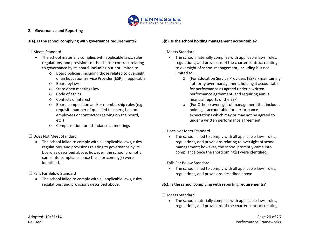

#### **2. Governance and Reporting**

#### **3(a). Is the school complying with governance requirements?**

#### □ Meets Standard

- The school materially complies with applicable laws, rules, regulations, and provisions of the charter contract relating to governance by its board, including but not limited to:
	- o Board policies, including those related to oversight of an Education Service Provider (ESP), if applicable
	- o Board bylaws
	- o State open meetings law
	- o Code of ethics
	- o Conflicts of interest
	- o Board composition and/or membership rules (e.g. requisite number of qualified teachers, ban on employees or contractors serving on the board, etc.)
	- o Compensation for attendance at meetings

# □ Does Not Meet Standard

• The school failed to comply with all applicable laws, rules, regulations, and provisions relating to governance by its board as described above; however, the school promptly came into compliance once the shortcoming(s) were identified.

# $\Box$  Falls Far Below Standard

• The school failed to comply with all applicable laws, rules, regulations, and provisions described above.

## **3(b). Is the school holding management accountable?**

# □ Meets Standard

- The school materially complies with applicable laws, rules, regulations, and provisions of the charter contract relating to oversight of school management, including but not limited to:
	- o (For Education Service Providers [ESPs]) maintaining authority over management, holding it accountable for performance as agreed under a written performance agreement, and requiring annual financial reports of the ESP
	- o (For Others) oversight of management that includes holding it accountable for performance expectations which may or may not be agreed to under a written performance agreement

# □ Does Not Meet Standard

• The school failed to comply with all applicable laws, rules, regulations, and provisions relating to oversight of school management; however, the school promptly came into compliance once the shortcoming(s) were identified.

# $\Box$  Falls Far Below Standard

• The school failed to comply with all applicable laws, rules, regulations, and provisions described above

# **3(c). Is the school complying with reporting requirements?**

#### □ Meets Standard

• The school materially complies with applicable laws, rules, regulations, and provisions of the charter contract relating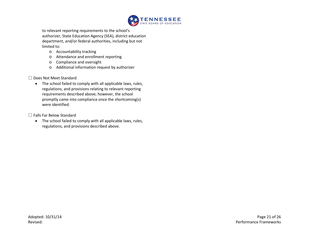

to relevant reporting requirements to the school's authorizer, State Education Agency (SEA), district education department, and/or federal authorities, including but not limited to:

- o Accountability tracking
- o Attendance and enrollment reporting
- o Compliance and oversight
- o Additional information request by authorizer
- □ Does Not Meet Standard
	- The school failed to comply with all applicable laws, rules, regulations, and provisions relating to relevant reporting requirements described above; however, the school promptly came into compliance once the shortcoming(s) were identified.

□ Falls Far Below Standard

• The school failed to comply with all applicable laws, rules, regulations, and provisions described above.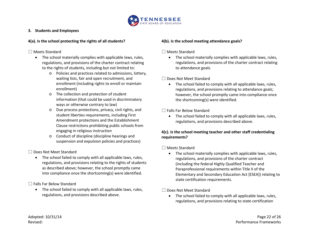

#### **3. Students and Employees**

## **4(a). Is the school protecting the rights of all students?**

## □ Meets Standard

- The school materially complies with applicable laws, rules, regulations, and provisions of the charter contract relating to the rights of students, including but not limited to:
	- o Policies and practices related to admissions, lottery, waiting lists, fair and open recruitment, and enrollment (including rights to enroll or maintain enrollment)
	- o The collection and protection of student information (that could be used in discriminatory ways or otherwise contrary to law)
	- o Due process protections, privacy, civil rights, and student liberties requirements, including First Amendment protections and the Establishment Clause restrictions prohibiting public schools from engaging in religious instruction
	- o Conduct of discipline (discipline hearings and suspension and expulsion policies and practices)

□ Does Not Meet Standard

• The school failed to comply with all applicable laws, rules, regulations, and provisions relating to the rights of students as described above; however, the school promptly came into compliance once the shortcoming(s) were identified.

□ Falls Far Below Standard

• The school failed to comply with all applicable laws, rules, regulations, and provisions described above.

## **4(b). Is the school meeting attendance goals?**

# □ Meets Standard

• The school materially complies with applicable laws, rules, regulations, and provisions of the charter contract relating to attendance goals.

# □ Does Not Meet Standard

• The school failed to comply with all applicable laws, rules, regulations, and provisions relating to attendance goals; however, the school promptly came into compliance once the shortcoming(s) were identified.

 $\Box$  Falls Far Below Standard

• The school failed to comply with all applicable laws, rules, regulations, and provisions described above.

# **4(c). Is the school meeting teacher and other staff credentialing requirements?**

□ Meets Standard

• The school materially complies with applicable laws, rules, regulations, and provisions of the charter contract (including the federal Highly Qualified Teacher and Paraprofessional requirements within Title II of the Elementary and Secondary Education Act [ESEA]) relating to state certification requirements.

□ Does Not Meet Standard

• The school failed to comply with all applicable laws, rules, regulations, and provisions relating to state certification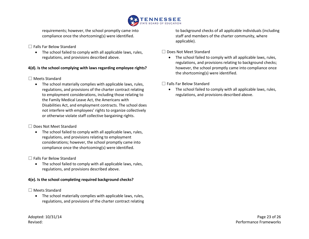

requirements; however, the school promptly came into compliance once the shortcoming(s) were identified.

## □ Falls Far Below Standard

• The school failed to comply with all applicable laws, rules, regulations, and provisions described above.

# **4(d). Is the school complying with laws regarding employee rights?**

## □ Meets Standard

• The school materially complies with applicable laws, rules, regulations, and provisions of the charter contract relating to employment considerations, including those relating to the Family Medical Leave Act, the Americans with Disabilities Act, and employment contracts. The school does not interfere with employees' rights to organize collectively or otherwise violate staff collective bargaining rights.

#### □ Does Not Meet Standard

• The school failed to comply with all applicable laws, rules, regulations, and provisions relating to employment considerations; however, the school promptly came into compliance once the shortcoming(s) were identified.

#### □ Falls Far Below Standard

• The school failed to comply with all applicable laws, rules, regulations, and provisions described above.

#### **4(e). Is the school completing required background checks?**

# □ Meets Standard

• The school materially complies with applicable laws, rules, regulations, and provisions of the charter contract relating to background checks of all applicable individuals (including staff and members of the charter community, where applicable).

# □ Does Not Meet Standard

• The school failed to comply with all applicable laws, rules, regulations, and provisions relating to background checks; however, the school promptly came into compliance once the shortcoming(s) were identified.

# □ Falls Far Below Standard

• The school failed to comply with all applicable laws, rules, regulations, and provisions described above.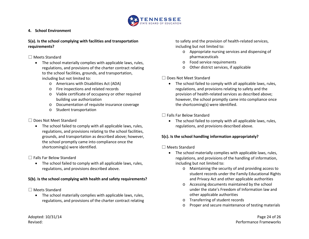

#### **4. School Environment**

#### **5(a). Is the school complying with facilities and transportation requirements?**

#### □ Meets Standard

- The school materially complies with applicable laws, rules, regulations, and provisions of the charter contract relating to the school facilities, grounds, and transportation, including but not limited to:
	- o Americans with Disabilities Act (ADA)
	- o Fire inspections and related records
	- o Viable certificate of occupancy or other required building use authorization
	- o Documentation of requisite insurance coverage
	- o Student transportation

# □ Does Not Meet Standard

• The school failed to comply with all applicable laws, rules, regulations, and provisions relating to the school facilities, grounds, and transportation as described above; however, the school promptly came into compliance once the shortcoming(s) were identified.

□ Falls Far Below Standard

• The school failed to comply with all applicable laws, rules, regulations, and provisions described above.

# **5(b). Is the school complying with health and safety requirements?**

# □ Meets Standard

• The school materially complies with applicable laws, rules, regulations, and provisions of the charter contract relating to safety and the provision of health-related services, including but not limited to:

- o Appropriate nursing services and dispensing of pharmaceuticals
- o Food service requirements
- o Other district services, if applicable

# □ Does Not Meet Standard

• The school failed to comply with all applicable laws, rules, regulations, and provisions relating to safety and the provision of health-related services as described above; however, the school promptly came into compliance once the shortcoming(s) were identified.

 $\Box$  Falls Far Below Standard

• The school failed to comply with all applicable laws, rules, regulations, and provisions described above.

# **5(c). Is the school handling information appropriately?**

# □ Meets Standard

- The school materially complies with applicable laws, rules, regulations, and provisions of the handling of information, including but not limited to:
	- o Maintaining the security of and providing access to student records under the Family Educational Rights and Privacy Act and other applicable authorities
	- o Accessing documents maintained by the school under the state's Freedom of Information law and other applicable authorities
	- o Transferring of student records
	- Proper and secure maintenance of testing materials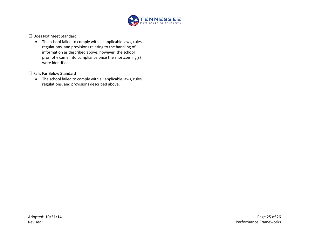

□ Does Not Meet Standard

• The school failed to comply with all applicable laws, rules, regulations, and provisions relating to the handling of information as described above; however, the school promptly came into compliance once the shortcoming(s) were identified.

□ Falls Far Below Standard

• The school failed to comply with all applicable laws, rules, regulations, and provisions described above.